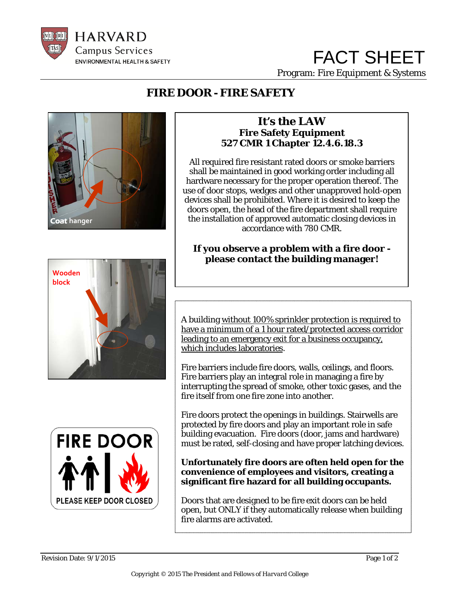

## FACT SHEET Program: Fire Equipment & Systems

### **FIRE DOOR - FIRE SAFETY**



#### **It's the LAW Fire Safety Equipment 527 CMR 1 Chapter 12.4.6.18.3**

All required fire resistant rated doors or smoke barriers shall be maintained in good working order including all hardware necessary for the proper operation thereof. The use of door stops, wedges and other unapproved hold-open devices shall be prohibited. Where it is desired to keep the doors open, the head of the fire department shall require the installation of approved automatic closing devices in accordance with 780 CMR.

# **If you observe a problem with a fire door please contact the building manager!**



 A building without 100% sprinkler protection is required to have a minimum of a 1 hour rated/protected access corridor leading to an emergency exit for a business occupancy, which includes laboratories.

 Fire barriers include fire doors, walls, ceilings, and floors. Fire barriers play an integral role in managing a fire by fire itself from one fire zone into another. interrupting the spread of smoke, other toxic gases, and the

 Fire doors protect the openings in buildings. Stairwells are protected by fire doors and play an important role in safe building evacuation. Fire doors (door, jams and hardware) must be rated, self-closing and have proper latching devices.

#### **Unfortunately fire doors are often held open for the convenience of employees and visitors, creating a significant fire hazard for all building occupants.**

 $\overline{a}$  Doors that are designed to be fire exit doors can be held  $\frac{1}{\cdot}$  fire alarms are activated. open, but ONLY if they automatically release when building